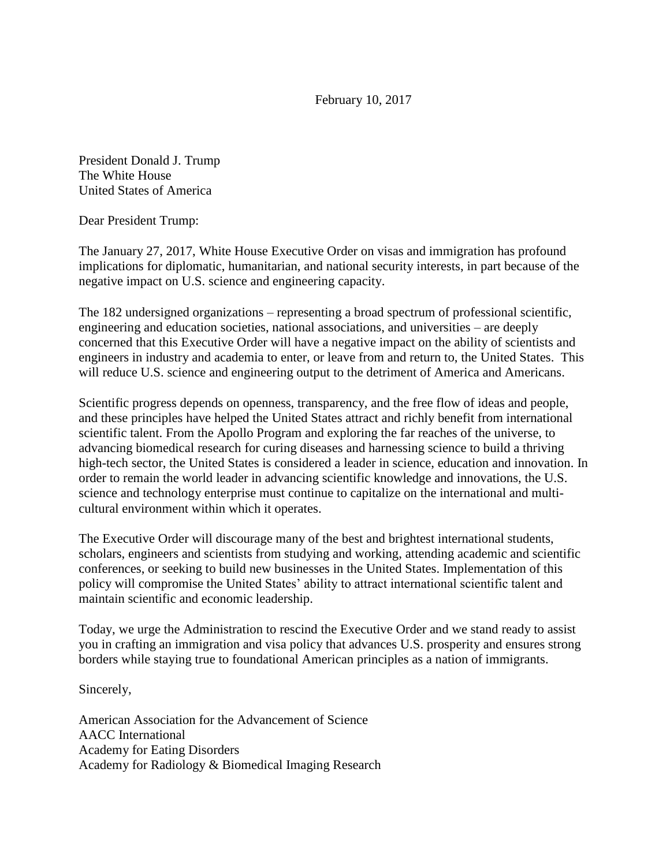February 10, 2017

President Donald J. Trump The White House United States of America

Dear President Trump:

The January 27, 2017, White House Executive Order on visas and immigration has profound implications for diplomatic, humanitarian, and national security interests, in part because of the negative impact on U.S. science and engineering capacity.

The 182 undersigned organizations – representing a broad spectrum of professional scientific, engineering and education societies, national associations, and universities – are deeply concerned that this Executive Order will have a negative impact on the ability of scientists and engineers in industry and academia to enter, or leave from and return to, the United States. This will reduce U.S. science and engineering output to the detriment of America and Americans.

Scientific progress depends on openness, transparency, and the free flow of ideas and people, and these principles have helped the United States attract and richly benefit from international scientific talent. From the Apollo Program and exploring the far reaches of the universe, to advancing biomedical research for curing diseases and harnessing science to build a thriving high-tech sector, the United States is considered a leader in science, education and innovation. In order to remain the world leader in advancing scientific knowledge and innovations, the U.S. science and technology enterprise must continue to capitalize on the international and multicultural environment within which it operates.

The Executive Order will discourage many of the best and brightest international students, scholars, engineers and scientists from studying and working, attending academic and scientific conferences, or seeking to build new businesses in the United States. Implementation of this policy will compromise the United States' ability to attract international scientific talent and maintain scientific and economic leadership.

Today, we urge the Administration to rescind the Executive Order and we stand ready to assist you in crafting an immigration and visa policy that advances U.S. prosperity and ensures strong borders while staying true to foundational American principles as a nation of immigrants.

Sincerely,

American Association for the Advancement of Science AACC International Academy for Eating Disorders Academy for Radiology & Biomedical Imaging Research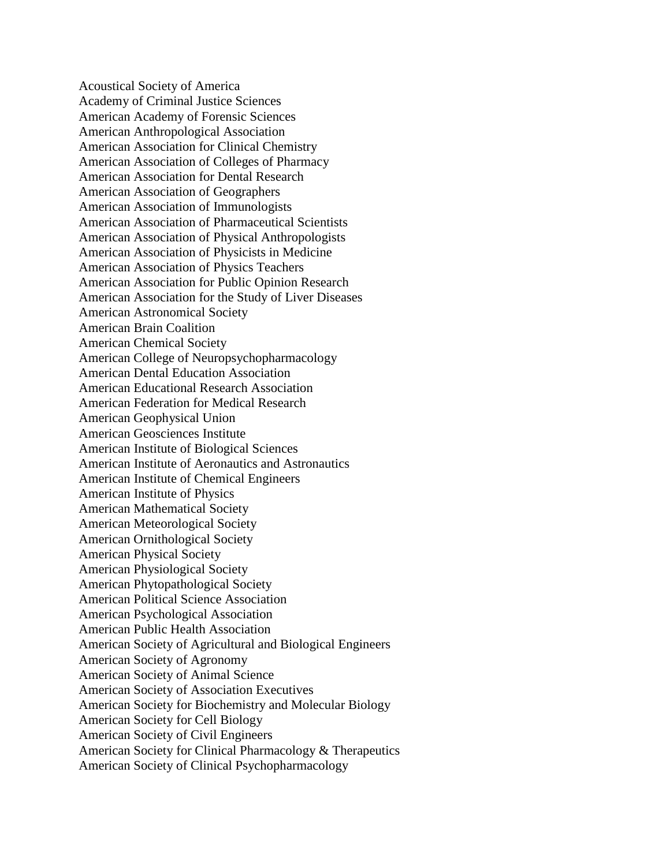Acoustical Society of America Academy of Criminal Justice Sciences American Academy of Forensic Sciences American Anthropological Association American Association for Clinical Chemistry American Association of Colleges of Pharmacy American Association for Dental Research American Association of Geographers American Association of Immunologists American Association of Pharmaceutical Scientists American Association of Physical Anthropologists American Association of Physicists in Medicine American Association of Physics Teachers American Association for Public Opinion Research American Association for the Study of Liver Diseases American Astronomical Society American Brain Coalition American Chemical Society American College of Neuropsychopharmacology American Dental Education Association American Educational Research Association American Federation for Medical Research American Geophysical Union American Geosciences Institute American Institute of Biological Sciences American Institute of Aeronautics and Astronautics American Institute of Chemical Engineers American Institute of Physics American Mathematical Society American Meteorological Society American Ornithological Society American Physical Society American Physiological Society American Phytopathological Society American Political Science Association American Psychological Association American Public Health Association American Society of Agricultural and Biological Engineers American Society of Agronomy American Society of Animal Science American Society of Association Executives American Society for Biochemistry and Molecular Biology American Society for Cell Biology American Society of Civil Engineers American Society for Clinical Pharmacology & Therapeutics American Society of Clinical Psychopharmacology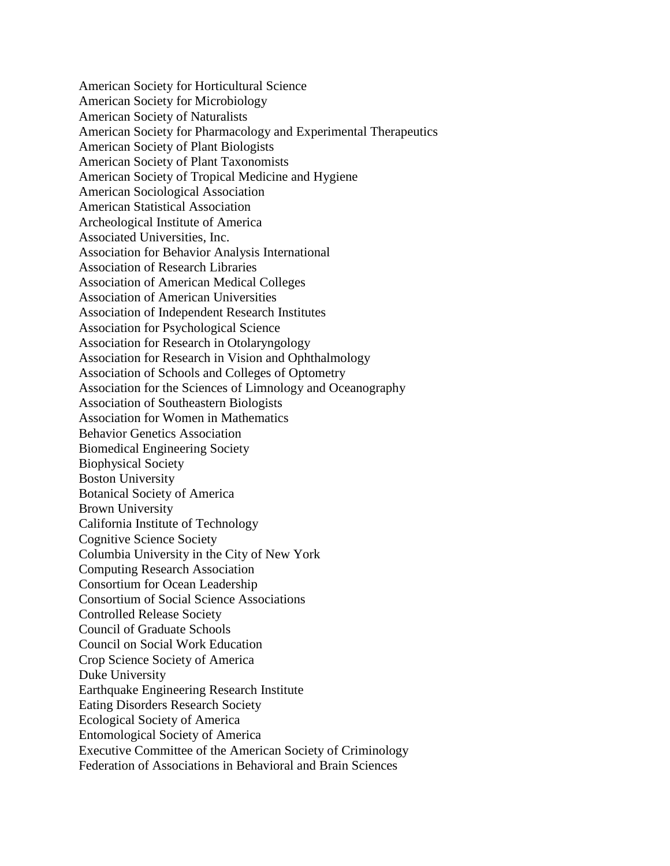American Society for Horticultural Science American Society for Microbiology American Society of Naturalists American Society for Pharmacology and Experimental Therapeutics American Society of Plant Biologists American Society of Plant Taxonomists American Society of Tropical Medicine and Hygiene American Sociological Association American Statistical Association Archeological Institute of America Associated Universities, Inc. Association for Behavior Analysis International Association of Research Libraries Association of American Medical Colleges Association of American Universities Association of Independent Research Institutes Association for Psychological Science Association for Research in Otolaryngology Association for Research in Vision and Ophthalmology Association of Schools and Colleges of Optometry Association for the Sciences of Limnology and Oceanography Association of Southeastern Biologists Association for Women in Mathematics Behavior Genetics Association Biomedical Engineering Society Biophysical Society Boston University Botanical Society of America Brown University California Institute of Technology Cognitive Science Society Columbia University in the City of New York Computing Research Association Consortium for Ocean Leadership Consortium of Social Science Associations Controlled Release Society Council of Graduate Schools Council on Social Work Education Crop Science Society of America Duke University Earthquake Engineering Research Institute Eating Disorders Research Society Ecological Society of America Entomological Society of America Executive Committee of the American Society of Criminology Federation of Associations in Behavioral and Brain Sciences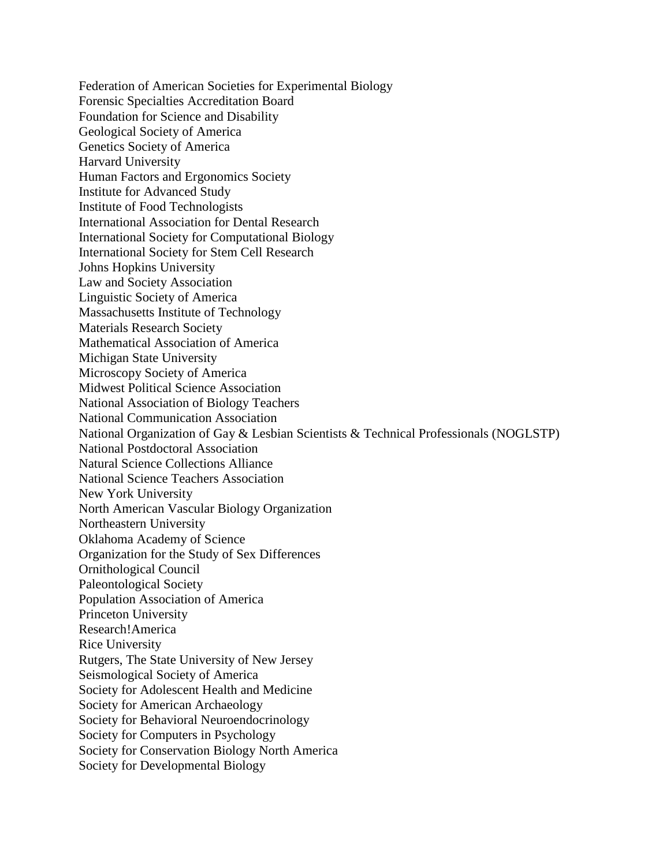Federation of American Societies for Experimental Biology Forensic Specialties Accreditation Board Foundation for Science and Disability Geological Society of America Genetics Society of America Harvard University Human Factors and Ergonomics Society Institute for Advanced Study Institute of Food Technologists International Association for Dental Research International Society for Computational Biology International Society for Stem Cell Research Johns Hopkins University Law and Society Association Linguistic Society of America Massachusetts Institute of Technology Materials Research Society Mathematical Association of America Michigan State University Microscopy Society of America Midwest Political Science Association National Association of Biology Teachers National Communication Association National Organization of Gay & Lesbian Scientists & Technical Professionals (NOGLSTP) National Postdoctoral Association Natural Science Collections Alliance National Science Teachers Association New York University North American Vascular Biology Organization Northeastern University Oklahoma Academy of Science Organization for the Study of Sex Differences Ornithological Council Paleontological Society Population Association of America Princeton University Research!America Rice University Rutgers, The State University of New Jersey Seismological Society of America Society for Adolescent Health and Medicine Society for American Archaeology Society for Behavioral Neuroendocrinology Society for Computers in Psychology Society for Conservation Biology North America Society for Developmental Biology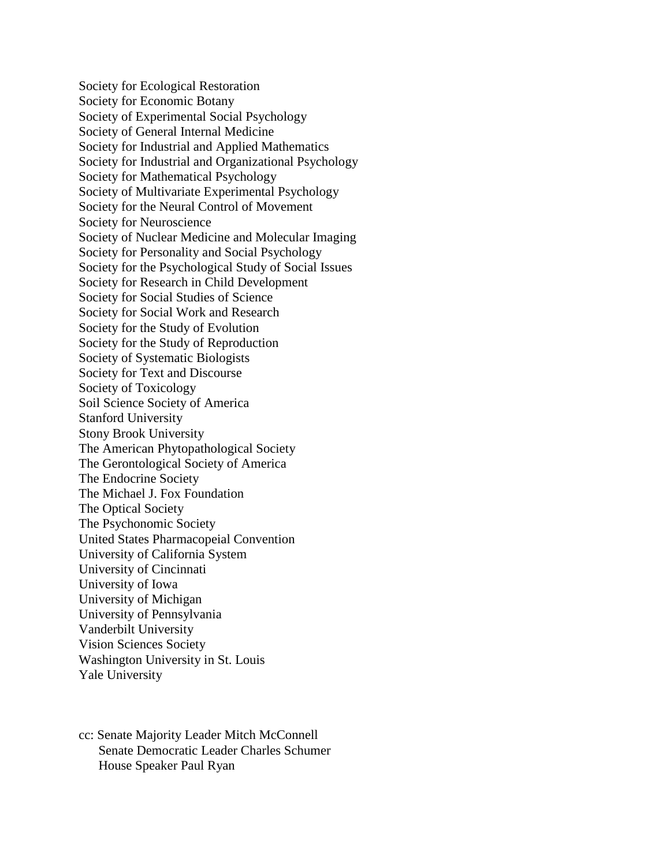Society for Ecological Restoration Society for Economic Botany Society of Experimental Social Psychology Society of General Internal Medicine Society for Industrial and Applied Mathematics Society for Industrial and Organizational Psychology Society for Mathematical Psychology Society of Multivariate Experimental Psychology Society for the Neural Control of Movement Society for Neuroscience Society of Nuclear Medicine and Molecular Imaging Society for Personality and Social Psychology Society for the Psychological Study of Social Issues Society for Research in Child Development Society for Social Studies of Science Society for Social Work and Research Society for the Study of Evolution Society for the Study of Reproduction Society of Systematic Biologists Society for Text and Discourse Society of Toxicology Soil Science Society of America Stanford University Stony Brook University The American Phytopathological Society The Gerontological Society of America The Endocrine Society The Michael J. Fox Foundation The Optical Society The Psychonomic Society United States Pharmacopeial Convention University of California System University of Cincinnati University of Iowa University of Michigan University of Pennsylvania Vanderbilt University Vision Sciences Society Washington University in St. Louis Yale University

cc: Senate Majority Leader Mitch McConnell Senate Democratic Leader Charles Schumer House Speaker Paul Ryan